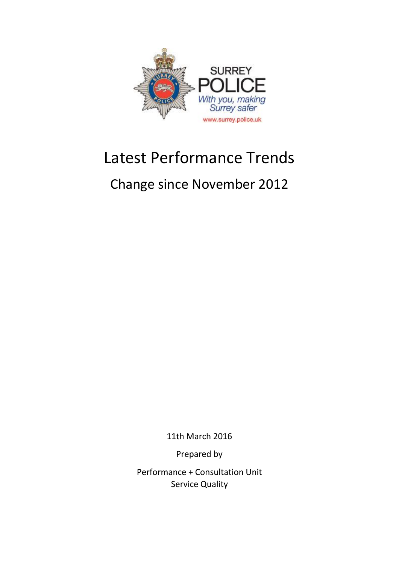

# Latest Performance Trends

# Change since November 2012

11th March 2016

Prepared by

Performance + Consultation Unit Service Quality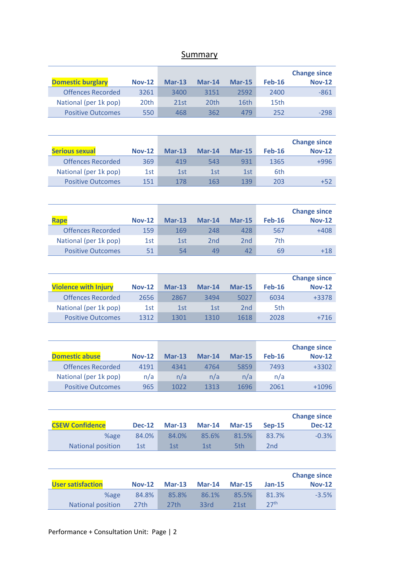# **Summary**

| <b>Domestic burglary</b> | <b>Nov-12</b> | $Mar-13$ | $Mar-14$ | $Mar-15$ | <b>Feb-16</b>    | <b>Change since</b><br><b>Nov-12</b> |
|--------------------------|---------------|----------|----------|----------|------------------|--------------------------------------|
| <b>Offences Recorded</b> | 3261          | 3400     | 3151     | 2592     | 2400             | -861                                 |
| National (per 1k pop)    | 20th          | 21st     | 20th     | 16th     | 15 <sub>th</sub> |                                      |
| <b>Positive Outcomes</b> | 550           | 468      | 362      | 479      | 252              | $-298$                               |
|                          |               |          |          |          |                  |                                      |

| <b>Serious sexual</b>    | <b>Nov-12</b> | $Mar-13$ | $Mar-14$ | $Mar-15$ | $Feb-16$ | <b>Change since</b><br><b>Nov-12</b> |
|--------------------------|---------------|----------|----------|----------|----------|--------------------------------------|
| <b>Offences Recorded</b> | 369           | 419      | 543      | 931      | 1365     | +996                                 |
| National (per 1k pop)    | 1st           | 1st      | 1st      | 1st      | 6th      |                                      |
| <b>Positive Outcomes</b> | 151           | 178      | 163      | 139      | 203      | $+52$                                |

| <b>Rape</b>              | <b>Nov-12</b> | $Mar-13$ | $Mar-14$        | $Mar-15$ | $Feb-16$ | <b>Change since</b><br><b>Nov-12</b> |
|--------------------------|---------------|----------|-----------------|----------|----------|--------------------------------------|
| <b>Offences Recorded</b> | 159           | 169      | 248             | 428      | 567      | $+408$                               |
| National (per 1k pop)    | 1st           | 1st      | 2 <sub>nd</sub> | 2nd      | 7th      |                                      |
| <b>Positive Outcomes</b> | 51            | 54       | 49              | 42       | 69       | $+18$                                |

|                             |               |          |          |                 |          | <b>Change since</b> |
|-----------------------------|---------------|----------|----------|-----------------|----------|---------------------|
| <b>Violence with Injury</b> | <b>Nov-12</b> | $Mar-13$ | $Mar-14$ | $Mar-15$        | $Feb-16$ | <b>Nov-12</b>       |
| <b>Offences Recorded</b>    | 2656          | 2867     | 3494     | 5027            | 6034     | +3378               |
| National (per 1k pop)       | 1st           | 1st      | 1st      | 2 <sub>nd</sub> | 5th      |                     |
| <b>Positive Outcomes</b>    | 1312          | 1301     | 1310     | 1618            | 2028     | $+716$              |

| <b>Domestic abuse</b>    | <b>Nov-12</b> | $Mar-13$ | $Mar-14$ | $Mar-15$ | <b>Feb-16</b> | <b>Change since</b><br><b>Nov-12</b> |
|--------------------------|---------------|----------|----------|----------|---------------|--------------------------------------|
| <b>Offences Recorded</b> | 4191          | 4341     | 4764     | 5859     | 7493          | $+3302$                              |
| National (per 1k pop)    | n/a           | n/a      | n/a      | n/a      | n/a           |                                      |
| <b>Positive Outcomes</b> | 965           | 1022     | 1313     | 1696     | 2061          | $+1096$                              |

| <b>CSEW Confidence</b> | <b>Dec-12</b> | $Mar-13$ | $Mar-14$ | <b>Mar-15</b> | Sep-15          | <b>Change since</b><br><b>Dec-12</b> |
|------------------------|---------------|----------|----------|---------------|-----------------|--------------------------------------|
| %age                   | 84.0%         | 84.0%    | 85.6%    | 81.5%         | 83.7%           | $-0.3%$                              |
| National position      | 1st           | 1st      | 1st      | 5th           | 2 <sub>nd</sub> |                                      |

| <b>User satisfaction</b> | $Nov-12$         | $Mar-13$ | $Mar-14$ | $Mar-15$ | $Jan-15$         | <b>Change since</b><br><b>Nov-12</b> |
|--------------------------|------------------|----------|----------|----------|------------------|--------------------------------------|
| %age                     | 84.8%            | 85.8%    | 86.1%    | 85.5%    | 81.3%            | $-3.5%$                              |
| National position        | 27 <sub>th</sub> | 27th     | 33rd     | 21st     | 27 <sup>th</sup> |                                      |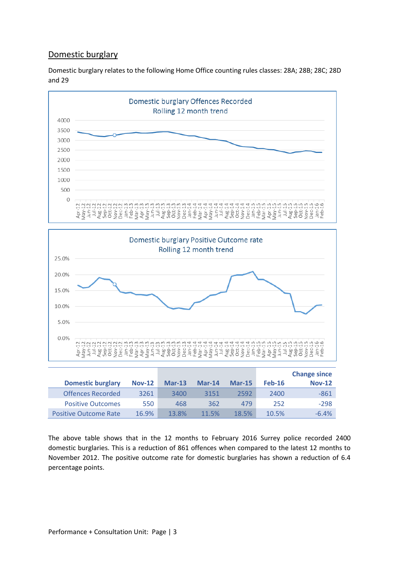# Domestic burglary

Domestic burglary relates to the following Home Office counting rules classes: 28A; 28B; 28C; 28D and 29





|                              |               |          |          |          |          | <b>Change since</b> |
|------------------------------|---------------|----------|----------|----------|----------|---------------------|
| <b>Domestic burglary</b>     | <b>Nov-12</b> | $Mar-13$ | $Mar-14$ | $Mar-15$ | $Feb-16$ | <b>Nov-12</b>       |
| <b>Offences Recorded</b>     | 3261          | 3400     | 3151     | 2592     | 2400     | -861                |
| <b>Positive Outcomes</b>     | 550           | 468      | 362      | 479      | 252      | $-298$              |
| <b>Positive Outcome Rate</b> | 16.9%         | 13.8%    | 11.5%    | 18.5%    | 10.5%    | $-6.4%$             |

The above table shows that in the 12 months to February 2016 Surrey police recorded 2400 domestic burglaries. This is a reduction of 861 offences when compared to the latest 12 months to November 2012. The positive outcome rate for domestic burglaries has shown a reduction of 6.4 percentage points.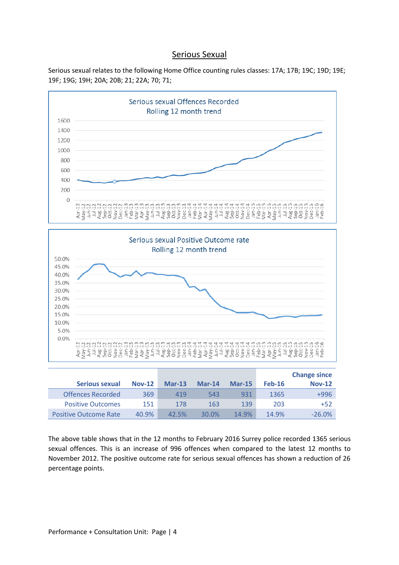#### Serious Sexual







|                              |               |          |          |          |          | <b>Change since</b> |
|------------------------------|---------------|----------|----------|----------|----------|---------------------|
| <b>Serious sexual</b>        | <b>Nov-12</b> | $Mar-13$ | $Mar-14$ | $Mar-15$ | $Feb-16$ | <b>Nov-12</b>       |
| <b>Offences Recorded</b>     | 369           | 419      | 543      | 931      | 1365     | +996                |
| <b>Positive Outcomes</b>     | 151           | 178      | 163      | 139      | 203      | $+52$               |
| <b>Positive Outcome Rate</b> | 40.9%         | 42.5%    | 30.0%    | 14.9%    | 14.9%    | $-26.0%$            |

The above table shows that in the 12 months to February 2016 Surrey police recorded 1365 serious sexual offences. This is an increase of 996 offences when compared to the latest 12 months to November 2012. The positive outcome rate for serious sexual offences has shown a reduction of 26 percentage points.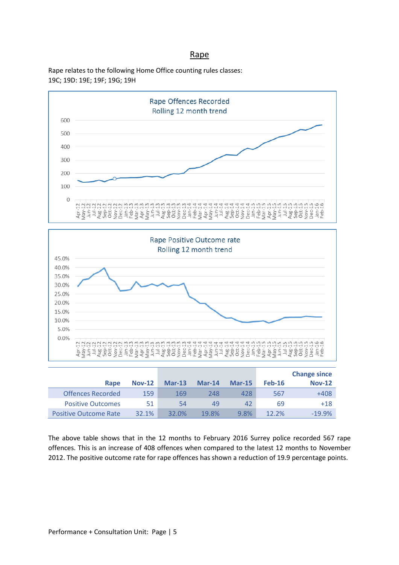#### Rape

Rape relates to the following Home Office counting rules classes: 19C; 19D: 19E; 19F; 19G; 19H





|                              |               |          |          |          |          | <b>Change since</b> |
|------------------------------|---------------|----------|----------|----------|----------|---------------------|
| Rape                         | <b>Nov-12</b> | $Mar-13$ | $Mar-14$ | $Mar-15$ | $Feb-16$ | <b>Nov-12</b>       |
| <b>Offences Recorded</b>     | 159           | 169      | 248      | 428      | 567      | $+408$              |
| <b>Positive Outcomes</b>     | 51            | 54       | 49       | 42       | 69       | $+18$               |
| <b>Positive Outcome Rate</b> | 32.1%         | $32.0\%$ | 19.8%    | 9.8%     | $12.2\%$ | $-19.9%$            |

The above table shows that in the 12 months to February 2016 Surrey police recorded 567 rape offences. This is an increase of 408 offences when compared to the latest 12 months to November 2012. The positive outcome rate for rape offences has shown a reduction of 19.9 percentage points.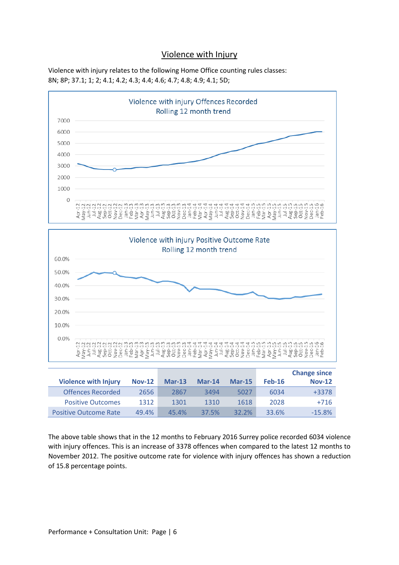## Violence with Injury

Violence with injury relates to the following Home Office counting rules classes: 8N; 8P; 37.1; 1; 2; 4.1; 4.2; 4.3; 4.4; 4.6; 4.7; 4.8; 4.9; 4.1; 5D;





|                              |               |          |          |          |          | <b>Change since</b> |
|------------------------------|---------------|----------|----------|----------|----------|---------------------|
| <b>Violence with Injury</b>  | <b>Nov-12</b> | $Mar-13$ | $Mar-14$ | $Mar-15$ | $Feb-16$ | <b>Nov-12</b>       |
| <b>Offences Recorded</b>     | 2656          | 2867     | 3494     | 5027     | 6034     | $+3378$             |
| <b>Positive Outcomes</b>     | 1312          | 1301     | 1310     | 1618     | 2028     | $+716$              |
| <b>Positive Outcome Rate</b> | 49.4%         | 45.4%    | 37.5%    | $32.2\%$ | 33.6%    | $-15.8%$            |

The above table shows that in the 12 months to February 2016 Surrey police recorded 6034 violence with injury offences. This is an increase of 3378 offences when compared to the latest 12 months to November 2012. The positive outcome rate for violence with injury offences has shown a reduction of 15.8 percentage points.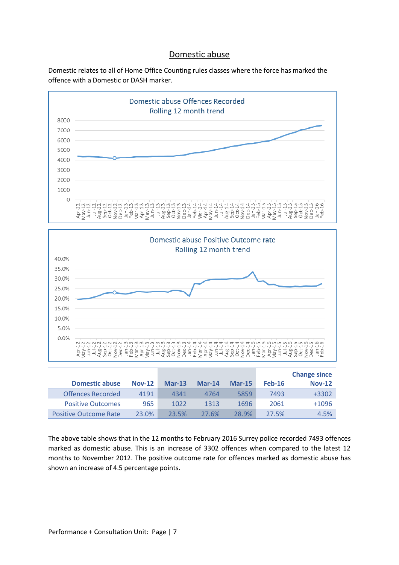## Domestic abuse

Domestic relates to all of Home Office Counting rules classes where the force has marked the offence with a Domestic or DASH marker.





|                              |          |          |          |          |          | <b>Change since</b> |
|------------------------------|----------|----------|----------|----------|----------|---------------------|
| <b>Domestic abuse</b>        | $Nov-12$ | $Mar-13$ | $Mar-14$ | $Mar-15$ | $Feb-16$ | <b>Nov-12</b>       |
| <b>Offences Recorded</b>     | 4191     | 4341     | 4764     | 5859     | 7493     | $+3302$             |
| <b>Positive Outcomes</b>     | 965      | 1022     | 1313     | 1696     | 2061     | $+1096$             |
| <b>Positive Outcome Rate</b> | 23.0%    | 23.5%    | 27.6%    | 28.9%    | 27.5%    | 4.5%                |

The above table shows that in the 12 months to February 2016 Surrey police recorded 7493 offences marked as domestic abuse. This is an increase of 3302 offences when compared to the latest 12 months to November 2012. The positive outcome rate for offences marked as domestic abuse has shown an increase of 4.5 percentage points.